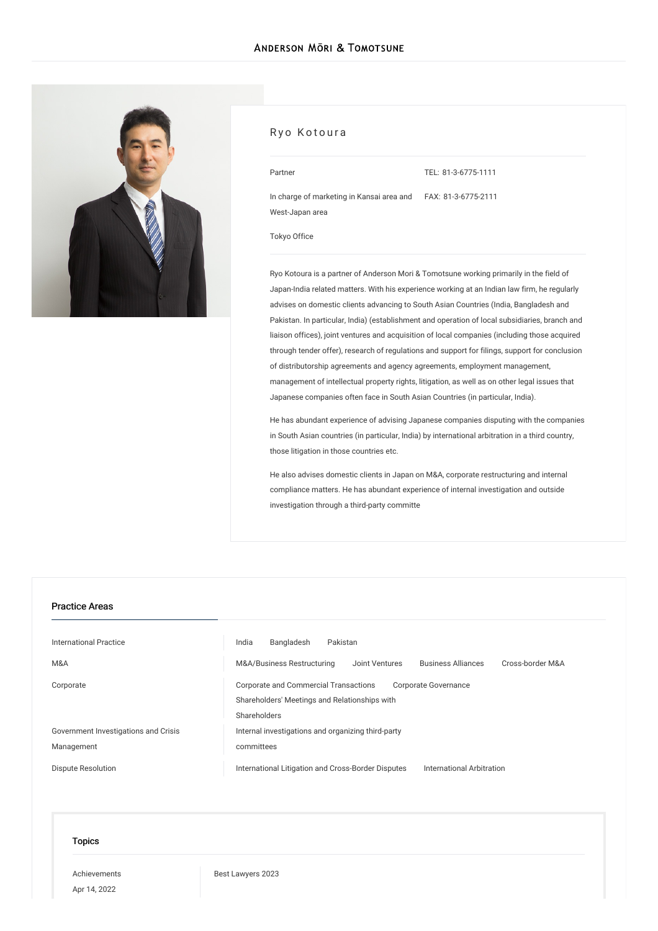

#### Ryo Kotoura

TEL: [81-3-6775-1111](tel:81-3-6775-1111)

In charge of marketing in Kansai area and FAX: 81-3-6775-2111 West-Japan area

[Tokyo](/en/locations/tokyo) Office

Ryo Kotoura is a partner of Anderson Mori & Tomotsune working primarily in the field of Japan-India related matters. With his experience working at an Indian law firm, he regularly advises on domestic clients advancing to South Asian Countries (India, Bangladesh and Pakistan. In particular, India) (establishment and operation of local subsidiaries, branch and liaison offices), joint ventures and acquisition of local companies (including those acquired through tender offer), research of regulations and support for filings, support for conclusion of distributorship agreements and agency agreements, employment management, management of intellectual property rights, litigation, as well as on other legal issues that Japanese companies often face in South Asian Countries (in particular, India).

He has abundant experience of advising Japanese companies disputing with the companies in South Asian countries (in particular, India) by international arbitration in a third country, those litigation in those countries etc.

He also advises domestic clients in Japan on M&A, corporate restructuring and internal compliance matters. He has abundant experience of internal investigation and outside investigation through a third-party committe

#### Practice Areas

| International Practice               | India<br>Bangladesh<br>Pakistan                                                                                                       |
|--------------------------------------|---------------------------------------------------------------------------------------------------------------------------------------|
| M&A                                  | <b>Business Alliances</b><br>Cross-border M&A<br>M&A/Business Restructuring<br>Joint Ventures                                         |
| Corporate                            | <b>Corporate and Commercial Transactions</b><br>Corporate Governance<br>Shareholders' Meetings and Relationships with<br>Shareholders |
| Government Investigations and Crisis | Internal investigations and organizing third-party                                                                                    |
| Management                           | committees                                                                                                                            |
| Dispute Resolution                   | International Litigation and Cross-Border Disputes<br>International Arbitration                                                       |

#### Topics

[Achievements](/en/news/achievements/) Apr 14, 2022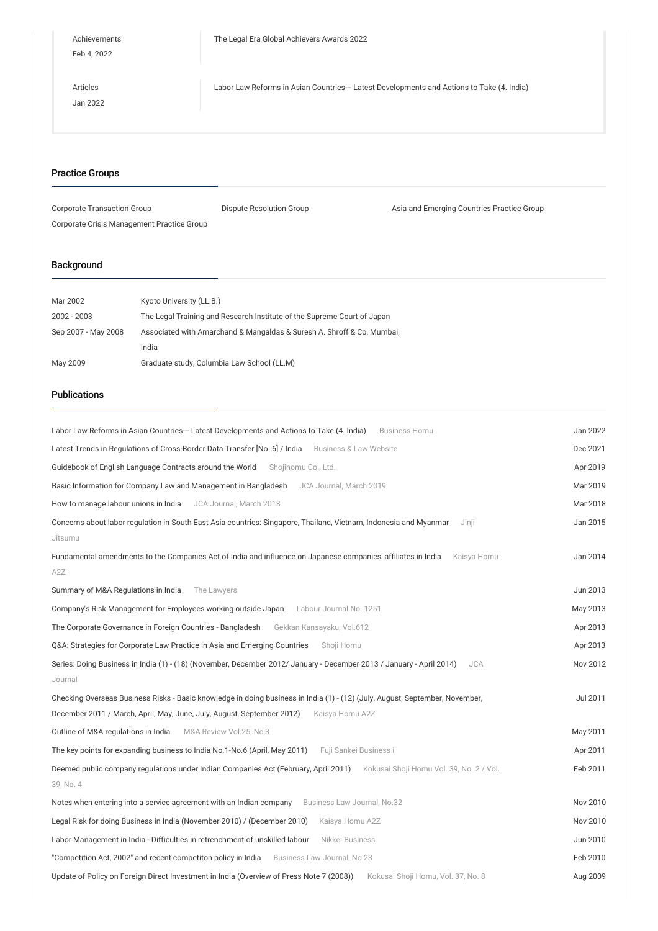Feb 4, 2022

[Articles](/en/publications/articles/) Jan 2022 Labor Law Reforms in Asian Countries--- Latest [Developments](/en/publications/detail/publication_0024442_en_001) and Actions to Take (4. India)

## Practice Groups

| Corporate Transaction Group                | Dispute Resolution Group | Asia and Emerging Countries Practice Group |
|--------------------------------------------|--------------------------|--------------------------------------------|
| Corporate Crisis Management Practice Group |                          |                                            |

# Background

| Mar 2002            | Kyoto University (LL.B.)                                                |
|---------------------|-------------------------------------------------------------------------|
| 2002 - 2003         | The Legal Training and Research Institute of the Supreme Court of Japan |
| Sep 2007 - May 2008 | Associated with Amarchand & Mangaldas & Suresh A. Shroff & Co, Mumbai,  |
|                     | India                                                                   |
| May 2009            | Graduate study, Columbia Law School (LL.M)                              |

## Publications

| Labor Law Reforms in Asian Countries--- Latest Developments and Actions to Take (4. India)<br><b>Business Homu</b>                                                                                                        | Jan 2022 |
|---------------------------------------------------------------------------------------------------------------------------------------------------------------------------------------------------------------------------|----------|
| Latest Trends in Regulations of Cross-Border Data Transfer [No. 6] / India Business & Law Website                                                                                                                         | Dec 2021 |
| Guidebook of English Language Contracts around the World Shojihomu Co., Ltd.                                                                                                                                              | Apr 2019 |
| Basic Information for Company Law and Management in Bangladesh<br>JCA Journal, March 2019                                                                                                                                 | Mar 2019 |
| How to manage labour unions in India JCA Journal, March 2018                                                                                                                                                              | Mar 2018 |
| Concerns about labor regulation in South East Asia countries: Singapore, Thailand, Vietnam, Indonesia and Myanmar<br>Jinji<br>Jitsumu                                                                                     | Jan 2015 |
| Fundamental amendments to the Companies Act of India and influence on Japanese companies' affiliates in India<br>Kaisya Homu<br>A2Z                                                                                       | Jan 2014 |
| Summary of M&A Regulations in India<br>The Lawyers                                                                                                                                                                        | Jun 2013 |
| Company's Risk Management for Employees working outside Japan Labour Journal No. 1251                                                                                                                                     | May 2013 |
| The Corporate Governance in Foreign Countries - Bangladesh<br>Gekkan Kansayaku, Vol.612                                                                                                                                   | Apr 2013 |
| Q&A: Strategies for Corporate Law Practice in Asia and Emerging Countries<br>Shoii Homu                                                                                                                                   | Apr 2013 |
| Series: Doing Business in India (1) - (18) (November, December 2012/ January - December 2013 / January - April 2014)<br><b>JCA</b>                                                                                        | Nov 2012 |
| Journal                                                                                                                                                                                                                   |          |
| Checking Overseas Business Risks - Basic knowledge in doing business in India (1) - (12) (July, August, September, November,<br>December 2011 / March, April, May, June, July, August, September 2012)<br>Kaisya Homu A2Z | Jul 2011 |
| Outline of M&A regulations in India M&A Review Vol.25, No,3                                                                                                                                                               | May 2011 |
| The key points for expanding business to India No.1-No.6 (April, May 2011)<br>Fuji Sankei Business i                                                                                                                      | Apr 2011 |
| Deemed public company regulations under Indian Companies Act (February, April 2011) Kokusai Shoji Homu Vol. 39, No. 2 / Vol.<br>39, No. 4                                                                                 | Feb 2011 |
| Notes when entering into a service agreement with an Indian company Business Law Journal, No.32                                                                                                                           | Nov 2010 |
| Legal Risk for doing Business in India (November 2010) / (December 2010)<br>Kaisya Homu A2Z                                                                                                                               | Nov 2010 |
| Labor Management in India - Difficulties in retrenchment of unskilled labour<br>Nikkei Business                                                                                                                           | Jun 2010 |
| "Competition Act, 2002" and recent competiton policy in India Business Law Journal, No.23                                                                                                                                 | Feb 2010 |
| Update of Policy on Foreign Direct Investment in India (Overview of Press Note 7 (2008))<br>Kokusai Shoji Homu, Vol. 37, No. 8                                                                                            | Aug 2009 |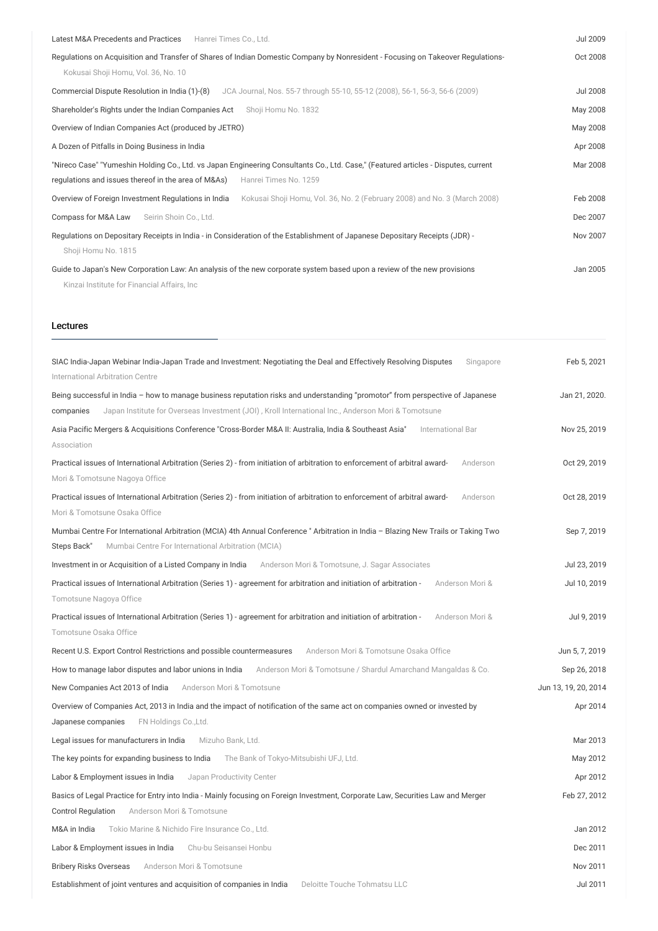| Latest M&A Precedents and Practices<br>Hanrei Times Co., Ltd.                                                                                                                       | Jul 2009 |
|-------------------------------------------------------------------------------------------------------------------------------------------------------------------------------------|----------|
| Regulations on Acquisition and Transfer of Shares of Indian Domestic Company by Nonresident - Focusing on Takeover Regulations-<br>Kokusai Shoji Homu, Vol. 36, No. 10              | Oct 2008 |
| JCA Journal, Nos. 55-7 through 55-10, 55-12 (2008), 56-1, 56-3, 56-6 (2009)<br>Commercial Dispute Resolution in India (1)-(8)                                                       | Jul 2008 |
| Shareholder's Rights under the Indian Companies Act<br>Shoji Homu No. 1832                                                                                                          | May 2008 |
| Overview of Indian Companies Act (produced by JETRO)                                                                                                                                | May 2008 |
| A Dozen of Pitfalls in Doing Business in India                                                                                                                                      | Apr 2008 |
| "Nireco Case" "Yumeshin Holding Co., Ltd. vs Japan Engineering Consultants Co., Ltd. Case," (Featured articles - Disputes, current                                                  | Mar 2008 |
| regulations and issues thereof in the area of M&As)<br>Hanrei Times No. 1259                                                                                                        |          |
| Overview of Foreign Investment Regulations in India<br>Kokusai Shoji Homu, Vol. 36, No. 2 (February 2008) and No. 3 (March 2008)                                                    | Feb 2008 |
| Compass for M&A Law<br>Seirin Shoin Co., Ltd.                                                                                                                                       | Dec 2007 |
| Regulations on Depositary Receipts in India - in Consideration of the Establishment of Japanese Depositary Receipts (JDR) -                                                         | Nov 2007 |
| Shoji Homu No. 1815                                                                                                                                                                 |          |
| Guide to Japan's New Corporation Law: An analysis of the new corporate system based upon a review of the new provisions<br>Jan 2005<br>Kinzai Institute for Financial Affairs, Inc. |          |

#### Lectures

| SIAC India-Japan Webinar India-Japan Trade and Investment: Negotiating the Deal and Effectively Resolving Disputes<br>Singapore<br>International Arbitration Centre                                    | Feb 5, 2021          |
|--------------------------------------------------------------------------------------------------------------------------------------------------------------------------------------------------------|----------------------|
| Being successful in India - how to manage business reputation risks and understanding "promotor" from perspective of Japanese                                                                          | Jan 21, 2020.        |
| Japan Institute for Overseas Investment (JOI), Kroll International Inc., Anderson Mori & Tomotsune<br>companies                                                                                        |                      |
| Asia Pacific Mergers & Acquisitions Conference "Cross-Border M&A II: Australia, India & Southeast Asia"<br>International Bar<br>Association                                                            | Nov 25, 2019         |
| Practical issues of International Arbitration (Series 2) - from initiation of arbitration to enforcement of arbitral award-<br>Anderson<br>Mori & Tomotsune Nagoya Office                              | Oct 29, 2019         |
| Practical issues of International Arbitration (Series 2) - from initiation of arbitration to enforcement of arbitral award-<br>Anderson<br>Mori & Tomotsune Osaka Office                               | Oct 28, 2019         |
| Mumbai Centre For International Arbitration (MCIA) 4th Annual Conference "Arbitration in India - Blazing New Trails or Taking Two<br>Steps Back"<br>Mumbai Centre For International Arbitration (MCIA) | Sep 7, 2019          |
| Investment in or Acquisition of a Listed Company in India Anderson Mori & Tomotsune, J. Sagar Associates                                                                                               | Jul 23, 2019         |
| Practical issues of International Arbitration (Series 1) - agreement for arbitration and initiation of arbitration -<br>Anderson Mori &<br>Tomotsune Nagoya Office                                     | Jul 10, 2019         |
| Practical issues of International Arbitration (Series 1) - agreement for arbitration and initiation of arbitration -<br>Anderson Mori &                                                                | Jul 9, 2019          |
| Tomotsune Osaka Office                                                                                                                                                                                 |                      |
| Recent U.S. Export Control Restrictions and possible countermeasures<br>Anderson Mori & Tomotsune Osaka Office                                                                                         | Jun 5, 7, 2019       |
| How to manage labor disputes and labor unions in India<br>Anderson Mori & Tomotsune / Shardul Amarchand Mangaldas & Co.                                                                                | Sep 26, 2018         |
| New Companies Act 2013 of India<br>Anderson Mori & Tomotsune                                                                                                                                           | Jun 13, 19, 20, 2014 |
| Overview of Companies Act, 2013 in India and the impact of notification of the same act on companies owned or invested by<br>FN Holdings Co., Ltd.<br>Japanese companies                               | Apr 2014             |
| Legal issues for manufacturers in India<br>Mizuho Bank, Ltd.                                                                                                                                           | Mar 2013             |
| The key points for expanding business to India<br>The Bank of Tokyo-Mitsubishi UFJ, Ltd.                                                                                                               | May 2012             |
| Japan Productivity Center<br>Labor & Employment issues in India                                                                                                                                        | Apr 2012             |
| Basics of Legal Practice for Entry into India - Mainly focusing on Foreign Investment, Corporate Law, Securities Law and Merger                                                                        | Feb 27, 2012         |
| <b>Control Regulation</b><br>Anderson Mori & Tomotsune                                                                                                                                                 |                      |
| M&A in India<br>Tokio Marine & Nichido Fire Insurance Co., Ltd.                                                                                                                                        | Jan 2012             |
| Labor & Employment issues in India<br>Chu-bu Seisansei Honbu                                                                                                                                           | Dec 2011             |
| <b>Bribery Risks Overseas</b><br>Anderson Mori & Tomotsune                                                                                                                                             | Nov 2011             |
| Establishment of joint ventures and acquisition of companies in India<br>Deloitte Touche Tohmatsu LLC                                                                                                  | Jul 2011             |